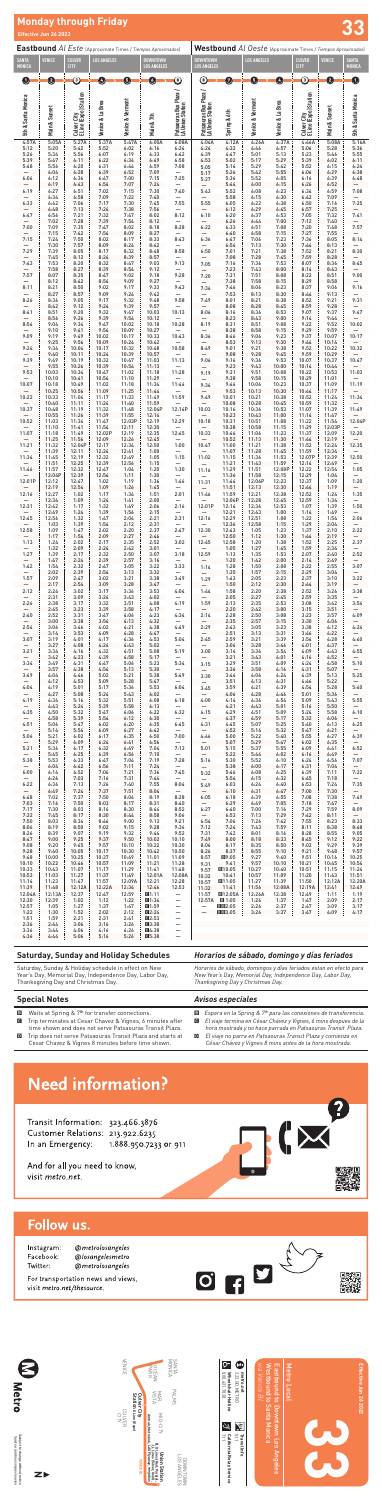**33**

*via Venice Bl*

Westbound to Santa Monica

Westbound to Santa Monica

Eastbound to Downtown Los Angeles

| VENICE        | Culver City          | OCEAN<br>PARK<br><b>VISIN</b><br>MAR                                                                                       | SANTA<br>MONICA<br><b>PALMS</b> |  |
|---------------|----------------------|----------------------------------------------------------------------------------------------------------------------------|---------------------------------|--|
| CUVER<br>GITA | Station Eline (Expo) | MID-CITY                                                                                                                   |                                 |  |
|               | <b>VENICE BL</b>     | B, D Lines (Red, Purple),<br>J, L Lines (Silver, Gold),<br>Amtrak, Metrolink, LAX Flyaway, megabus<br><b>Union Station</b> | LOS ANGELES<br>LOWNTOWN         |  |

Metro Local

**Effective Jun 26 2022**

Effective Jun 26 2022

Subject to change without notice<br>Sujeto a cambios sin previo aviso Subject to change without notice *Sujeto a cambios sin previo aviso*



**C**<br>333.60.METRO<br>**C\_** 800.621.7828 800.621.7828

metro.net<br>323.60.METRO **metro.net**







Travel Info<br>511 **Travel Info**

California Relay Service<br>711

**Wheelchair Hotline** 323.GO.METRO

**California Relay Service**

 $\mathbb{Q}$ 



差

|                                  |                 |                                      | <b>Eastbound Al Este (Approximate Times / Tiempos Aproximados)</b> |                  |                    |                                            |                                            |                                        | Westbound Al Oeste (Approximate Times / Tiempos Aproximados) |                  |                                      |                 |                                  |
|----------------------------------|-----------------|--------------------------------------|--------------------------------------------------------------------|------------------|--------------------|--------------------------------------------|--------------------------------------------|----------------------------------------|--------------------------------------------------------------|------------------|--------------------------------------|-----------------|----------------------------------|
| <b>SANTA</b>                     | <b>VENICE</b>   | <b>CULVER</b>                        | <b>LOS ANGELES</b>                                                 |                  | <b>DOWNTOWN</b>    |                                            | <b>DOWNTOWN</b>                            |                                        | <b>LOS ANGELES</b>                                           |                  | <b>CULVER</b>                        | <b>VENICE</b>   | <b>SANTA</b>                     |
| <b>MONICA</b>                    |                 | <b>CITY</b>                          |                                                                    |                  | <b>LOS ANGELES</b> |                                            | <b>LOS ANGELES</b>                         |                                        |                                                              |                  | <b>CITY</b>                          |                 | <b>MONICA</b>                    |
| O                                | 0               | ③                                    | $\vert$                                                            | 0                | O                  | $\circledcirc$                             | $^\copyright$                              | Ø                                      | 6                                                            | Ø                | ③                                    | Ø               | 0                                |
|                                  |                 |                                      |                                                                    |                  |                    |                                            |                                            |                                        |                                                              |                  |                                      |                 |                                  |
| 5th & Santa Monica               |                 | Culver City<br>E Line (Expo) Station |                                                                    | Venice & Vermont |                    | Patsaouras Bus Plaza /<br>LA Union Station | Patsaouras Bus Plaza /<br>LA Union Station |                                        | Venice & Vermont                                             |                  | Culver City<br>E Line (Expo) Station |                 | 5th & Santa Monica               |
|                                  | Main & Sunset   |                                      | Venice & La Brea                                                   |                  |                    |                                            |                                            | Spring & 6th                           |                                                              | Venice & La Brea |                                      | Main & Sunset   |                                  |
|                                  |                 |                                      |                                                                    |                  | Main & 7th         |                                            |                                            |                                        |                                                              |                  |                                      |                 |                                  |
| 4:57A                            | 5:05A           | 5:27A                                | 5:37A                                                              | 5:47A            | 6:00A              | 6:08A                                      | 4:04A                                      | 4:12A                                  | 4:26A                                                        | 4:37A            | 4:46A                                | 5:08A           | 5:16A                            |
| 5:12                             | 5:20            | 5:42                                 | 5:52                                                               | 6:02             | 6:16               | 6:24                                       | 4:24                                       | 4:32                                   | 4:46                                                         | 4:57             | 5:06                                 | 5:28            | 5:36                             |
| 5:26<br>5:39                     | 5:34<br>5:47    | 5:56<br>6:11                         | 6:07<br>6:22                                                       | 6:19<br>6:34     | 6:33<br>6:49       | 6:42<br>6:58                               | 4:39<br>4:53                               | 4:47<br>5:02                           | 5:01<br>5:17                                                 | 5:13<br>5:29     | 5:23<br>5:39                         | 5:46<br>6:02    | 5:55<br>6:11                     |
| 5:48                             | 5:56<br>6:04    | 6:20<br>6:28                         | 6:31<br>6:39                                                       | 6:44<br>6:52     | 6:59<br>7:09       | 7:08<br>—                                  | 5:05<br>5:17                               | 5:14<br>5:26                           | 5:29<br>5:42                                                 | 5:42<br>5:55     | 5:52<br>6:06                         | 6:15<br>6:29    | 6:24<br>6:38                     |
| 6:04                             | 6:12<br>6:19    | 6:36<br>6:43                         | 6:47<br>6:54                                                       | 7:00<br>7:07     | 7:15<br>7:24       | 7:25                                       | 5:27                                       | 5:36<br>5:44                           | 5:52<br>6:00                                                 | 6:05<br>6:15     | 6:16<br>6:26                         | 6:39<br>6:52    | 6:48                             |
| 6:19                             | 6:27<br>6:34    | 6:51<br>6:58                         | 7:02<br>7:09                                                       | 7:15<br>7:22     | 7:30<br>7:40       | 7:40                                       | 5:43                                       | 5:52<br>5:58                           | 6:08<br>6:15                                                 | 6:23<br>6:30     | 6:34<br>6:42                         | 6:59<br>7:09    | 7:08                             |
| 6:33                             | 6:42            | 7:06                                 | 7:17                                                               | 7:30             | 7:45               | 7:55                                       | 5:55                                       | 6:05                                   | 6:22                                                         | 6:38             | 6:50                                 | 7:16            | 7:25                             |
| 6:47                             | 6:48<br>6:56    | 7:13<br>7:21                         | 7:24<br>7:32                                                       | 7:38<br>7:47     | 7:56<br>8:02       | —<br>8:12                                  | 6:10                                       | 6:12<br>6:20                           | 6:29<br>6:37                                                 | 6:45<br>6:53     | 6:57<br>7:05                         | 7:25<br>7:32    | 7:41                             |
| 7:00                             | 7:02<br>7:09    | 7:28<br>7:35                         | 7:39<br>7:47                                                       | 7:54<br>8:02     | 8:12<br>8:18       | 8:28                                       | 6:22                                       | 6:26<br>6:33                           | 6:44<br>6:51                                                 | 7:00<br>7:08     | 7:12<br>7:20                         | 7:40<br>7:48    | 7:57                             |
| 7:15                             | 7:15<br>7:24    | 7:42<br>7:50                         | 7:54<br>8:02                                                       | 8:09<br>8:17     | 8:27<br>8:33       | 8:43                                       | 6:36                                       | 6:40<br>6:47                           | 6:58<br>7:06                                                 | 7:15<br>7:23     | 7:27<br>7:36                         | 7:55<br>8:05    | 8:14                             |
| 7:29                             | 7:30<br>7:39    | 7:57<br>8:05                         | 8:09<br>8:17                                                       | 8:24<br>8:32     | 8:42<br>8:48       | 8:58                                       | 6:50                                       | 6:54<br>7:01                           | 7:13<br>7:21                                                 | 7:30<br>7:38     | 7:44<br>7:52                         | 8:13<br>8:21    | 8:30                             |
|                                  | 7:45            | 8:12                                 | 8:24                                                               | 8:39             | 8:57               |                                            |                                            | 7:08                                   | 7:28                                                         | 7:45             | 7:59                                 | 8:28            |                                  |
| 7:43                             | 7:53<br>7:58    | 8:20<br>8:27                         | 8:32<br>8:39                                                       | 8:47<br>8:54     | 9:03<br>9:12       | 9:13                                       | 7:05                                       | 7:16<br>7:23                           | 7:36<br>7:43                                                 | 7:53<br>8:00     | 8:07<br>8:14                         | 8:36<br>8:43    | 8:45                             |
| 7:57                             | 8:07<br>8:12    | 8:35<br>8:42                         | 8:47<br>8:54                                                       | 9:02<br>9:09     | 9:18<br>9:27       | 9:28<br>—                                  | 7:20                                       | 7:31<br>7:38                           | 7:51<br>7:58                                                 | 8:08<br>8:15     | 8:22<br>8:29                         | 8:51<br>8:58    | 9:00                             |
| 8:11                             | 8:21<br>8:27    | 8:50<br>8:57                         | 9:02<br>9:09                                                       | 9:17<br>9:24     | 9:33<br>9:42       | 9:43                                       | 7:34                                       | 7:46<br>7:53                           | 8:06<br>8:13                                                 | 8:23<br>8:30     | 8:37<br>8:44                         | 9:06<br>9:13    | 9:16                             |
| 8:26                             | 8:36<br>8:42    | 9:05<br>9:12                         | 9:17<br>9:24                                                       | 9:32<br>9:39     | 9:48<br>9:57       | 9:58                                       | 7:49                                       | 8:01<br>8:08                           | 8:21<br>8:28                                                 | 8:38<br>8:45     | 8:52<br>8:59                         | 9:21<br>9:28    | 9:31                             |
| 8:41                             | 8:51            | 9:20                                 | 9:32                                                               | 9:47<br>9:54     | 10:03              | 10:13                                      | 8:04                                       | 8:16<br>8:23                           | 8:36                                                         | 8:53<br>9:00     | 9:07                                 | 9:37            | 9:47                             |
| 8:54                             | 8:56<br>9:04    | 9:26<br>9:34                         | 9:39<br>9:47                                                       | 10:02            | 10:12<br>10:18     | 10:28                                      | 8:19                                       | 8:31                                   | 8:43<br>8:51                                                 | 9:08             | 9:14<br>9:22                         | 9:44<br>9:52    | 10:02                            |
| 9:09                             | 9:10<br>9:19    | 9:41<br>9:49                         | 9:54<br>10:02                                                      | 10:09<br>10:17   | 10:27<br>10:33     | 10:43                                      | 8:34                                       | 8:38<br>8:46                           | 8:58<br>9:06                                                 | 9:15<br>9:23     | 9:29<br>9:37                         | 9:59<br>10:07   | 10:17                            |
| 9:24                             | 9:25<br>9:34    | 9:56<br>10:04                        | 10:09<br>10:17                                                     | 10:24<br>10:32   | 10:42<br>10:48     | 10:58                                      | 8:49                                       | 8:53<br>9:01                           | 9:13<br>9:21                                                 | 9:30<br>9:38     | 9:44<br>9:52                         | 10:14<br>10:22  | 10:32                            |
| 9:39                             | 9:40<br>9:49    | 10:11<br>10:19                       | 10:24<br>10:32                                                     | 10:39<br>10:47   | 10:57<br>11:03     | 11:13                                      | 9:04                                       | 9:08<br>9:16                           | 9:28<br>9:36                                                 | 9:45<br>9:53     | 9:59<br>10:07                        | 10:29<br>10:37  | 10:47                            |
| 9:53                             | 9:55<br>10:03   | 10:26<br>10:34                       | 10:39<br>10:47                                                     | 10:54<br>11:02   | 11:13<br>11:18     | 11:28                                      | 9:19                                       | 9:23<br>9:31                           | 9:43<br>9:51                                                 | 10:00<br>10:08   | 10:14<br>10:22                       | 10:44<br>10:53  | 11:03                            |
|                                  | 10:10           | 10:41                                | 10:54                                                              | 11:10            | 11:29              |                                            |                                            | 9:38                                   | 9:58                                                         | 10:15            | 10:29                                | 11:01           |                                  |
| 10:07                            | 10:18<br>10:25  | 10:49<br>10:56                       | 11:02<br>11:09                                                     | 11:18<br>11:25   | 11:34<br>11:44     | 11:44<br>$\overline{\phantom{0}}$          | 9:34                                       | 9:46<br>9:53                           | 10:06<br>10:13                                               | 10:23<br>10:30   | 10:37<br>10:44                       | 11:09<br>11:17  | 11:19                            |
| 10:22                            | 10:33<br>10:40  | 11:04<br>11:11                       | 11:17<br>11:24                                                     | 11:33<br>11:40   | 11:49<br>11:59     | 11:59                                      | 9:49                                       | 10:01<br>10:08                         | 10:21<br>10:28                                               | 10:38<br>10:45   | 10:52<br>10:59                       | 11:24<br>11:32  | 11:34                            |
| 10:37                            | 10:48<br>10:55  | 11:19<br>11:26                       | 11:32<br>11:39                                                     | 11:48<br>11:55   | 12:04P<br>12:14    | 12:14P                                     | 10:03                                      | 10:16<br>10:23                         | 10:36<br>10:43                                               | 10:53<br>11:00   | 11:07<br>11:14                       | 11:39<br>11:47  | 11:49                            |
| 10:52                            | 11:03<br>11:10  | 11:34<br>11:41                       | 11:47<br>11:54                                                     | 12:03P<br>12:11  | 12:19<br>12:30     | 12:29<br>$\qquad \qquad -$                 | 10:18                                      | 10:31<br>10:38                         | 10:51<br>10:58                                               | 11:08<br>11:15   | 11:22<br>11:29                       | 11:54<br>12:03P | 12:04P                           |
| 11:07                            | 11:18           | 11:49                                | 12:02P                                                             | 12:19            | 12:35              | 12:45                                      | 10:33                                      | 10:46                                  | 11:06                                                        | 11:23            | 11:37                                | 12:09           | 12:20                            |
| 11:21                            | 11:25<br>11:32  | 11:56<br>12:04P                      | 12:09<br>12:17                                                     | 12:26<br>12:34   | 12:45<br>12:50     | $\qquad \qquad -$<br>1:00                  | 10:47                                      | 10:52<br>11:00                         | 11:13<br>11:21                                               | 11:30<br>11:38   | 11:44<br>11:52                       | 12:19<br>12:24  | 12:35                            |
| 11:34                            | 11:39<br>11:45  | 12:11<br>12:19                       | 12:24<br>12:32                                                     | 12:41<br>12:49   | 1:00<br>1:05       | $\qquad \qquad -$<br>1:15                  | 11:02                                      | 11:07<br>11:15                         | 11:28<br>11:36                                               | 11:45<br>11:53   | 11:59<br>12:07P                      | 12:34<br>12:39  | 12:50                            |
| 11:46                            | 11:51<br>11:57  | 12:25<br>12:32                       | 12:39<br>12:47                                                     | 12:56<br>1:04    | 1:15<br>1:20       | $\qquad \qquad -$<br>1:30                  | $\qquad \qquad -$<br>11:16                 | 11:21<br>11:29                         | 11:43<br>11:51                                               | 11:59<br>12:08P  | 12:14<br>12:22                       | 12:49<br>12:54  | 1:05                             |
| 12:01P                           | 12:04P<br>12:12 | 12:39<br>12:47                       | 12:54<br>1:02                                                      | 1:11<br>1:19     | 1:30<br>1:36       | $\qquad \qquad -$<br>1:46                  | —<br>11:31                                 | 11:36<br>11:44                         | 11:58<br>12:06P                                              | 12:15<br>12:23   | 12:29<br>12:37                       | 1:04<br>1:09    | —<br>1:20                        |
|                                  | 12:19           | 12:54                                | 1:09                                                               | 1:26             | 1:45               | $\qquad \qquad -$                          | $\qquad \qquad -$                          | 11:51                                  | 12:13                                                        | 12:30            | 12:44                                | 1:19            | —                                |
| 12:16                            | 12:27<br>12:34  | 1:02<br>1:09                         | 1:17<br>1:24                                                       | 1:34<br>1:41     | 1:51<br>2:00       | 2:01<br>$\qquad \qquad -$                  | 11:46                                      | 11:59<br>12:06P                        | 12:21<br>12:28                                               | 12:38<br>12:45   | 12:52<br>12:59                       | 1:24<br>1:34    | 1:35<br>—                        |
| 12:31                            | 12:42<br>12:49  | 1:17<br>1:24                         | 1:32<br>1:39                                                       | 1:49<br>1:56     | 2:06<br>2:15       | 2:16<br>$\qquad \qquad -$                  | 12:01P                                     | 12:14<br>12:21                         | 12:36<br>12:43                                               | 12:53<br>1:00    | 1:07<br>1:14                         | 1:39<br>1:49    | 1:50<br>—                        |
| 12:45                            | 12:56<br>1:03   | 1:32<br>1:39                         | 1:47<br>1:54                                                       | 2:04<br>2:12     | 2:21<br>2:31       | 2:31<br>$\qquad \qquad -$                  | 12:16<br>—                                 | 12:29<br>12:36                         | 12:51<br>12:58                                               | 1:08<br>1:15     | 1:22<br>1:29                         | 1:54<br>2:04    | 2:06<br>—                        |
| 12:58                            | 1:09<br>1:17    | 1:47<br>1:54                         | 2:02<br>2:09                                                       | 2:20<br>2:27     | 2:37<br>2:46       | 2:47<br>$\qquad \qquad -$                  | 12:30<br>$\qquad \qquad -$                 | 12:43<br>12:50                         | 1:05<br>1:12                                                 | 1:23<br>1:30     | 1:37<br>1:44                         | 2:10<br>2:19    | 2:22                             |
| 1:13                             | 1:24<br>1:32    | 2:02<br>2:09                         | 2:17<br>2:24                                                       | 2:35<br>2:42     | 2:52<br>3:01       | 3:02                                       | 12:45                                      | 12:58<br>1:05                          | 1:20<br>1:27                                                 | 1:38<br>1:45     | 1:52<br>1:59                         | 2:25<br>2:34    | 2:37                             |
| 1:27                             | 1:39            | 2:17                                 | 2:32                                                               | 2:50             | 3:07               | $\overline{\phantom{0}}$<br>3:18           | 12:59                                      | 1:13                                   | 1:35                                                         | 1:53             | 2:07                                 | 2:40            | 2:52                             |
| 1:42                             | 1:47<br>1:54    | 2:24<br>2:32                         | 2:39<br>2:47                                                       | 2:57<br>3:05     | 3:16<br>3:22       | $\qquad \qquad -$<br>3:33                  | 1:14                                       | 1:20<br>1:28                           | 1:42<br>1:50                                                 | 2:00<br>2:08     | 2:14<br>2:22                         | 2:49<br>2:55    | 3:07                             |
| 1:57                             | 2:02<br>2:09    | 2:39<br>2:47                         | 2:54<br>3:02                                                       | 3:13<br>3:21     | 3:32<br>3:38       | $\qquad \qquad -$<br>3:49                  | 1:29                                       | 1:35<br>1:43                           | 1:57<br>2:05                                                 | 2:15<br>2:23     | 2:29<br>2:37                         | 3:04<br>3:10    | 3:22                             |
| 2:12                             | 2:17<br>2:24    | 2:54<br>3:02                         | 3:09<br>3:17                                                       | 3:28<br>3:36     | 3:47<br>3:53       | $\qquad \qquad -$<br>4:04                  | $\overline{\phantom{0}}$<br>1:44           | 1:50<br>1:58                           | 2:12<br>2:20                                                 | 2:30<br>2:38     | 2:44<br>2:52                         | 3:19<br>3:26    | 3:38                             |
| 2:26                             | 2:31<br>2:38    | 3:09<br>3:17                         | 3:24<br>3:32                                                       | 3:43<br>3:51     | 4:02<br>4:08       | $\qquad \qquad -$<br>4:19                  | 1:59                                       | 2:05<br>2:13                           | 2:27<br>2:35                                                 | 2:45<br>2:53     | 2:59<br>3:08                         | 3:35<br>3:42    | 3:54                             |
| 2:40                             | 2:45<br>2:52    | 3:23<br>3:31                         | 3:39<br>3:47                                                       | 3:58<br>4:06     | 4:17<br>4:23       | $\qquad \qquad -$<br>4:34                  |                                            | 2:20<br>2:28                           | 2:42<br>2:50                                                 | 3:00<br>3:08     | 3:15<br>3:23                         | 3:51<br>3:57    | 4:09                             |
|                                  | 3:00            | 3:38                                 | 3:54                                                               | 4:13             | 4:32               |                                            | 2:14                                       | 2:35                                   | 2:57                                                         | 3:15             | 3:30                                 | 4:06            |                                  |
| 2:54                             | 3:06<br>3:14    | 3:46<br>3:53                         | 4:02<br>4:09                                                       | 4:21<br>4:28     | 4:38<br>4:47       | 4:49<br>$\qquad \qquad -$                  | 2:29                                       | 2:43<br>2:51                           | 3:05<br>3:13                                                 | 3:23<br>3:31     | 3:38<br>3:46                         | 4:12<br>4:22    | 4:24                             |
| 3:07                             | 3:19<br>3:27    | 4:01<br>4:08                         | 4:17<br>4:24                                                       | 4:36<br>4:43     | 4:53<br>5:02       | 5:04<br>$\qquad \qquad -$                  | 2:45                                       | 2:59<br>3:06                           | 3:21<br>3:28                                                 | 3:39<br>3:46     | 3:54<br>4:01                         | 4:28<br>4:37    | 4:40                             |
| 3:21                             | 3:34<br>3:42    | 4:16<br>4:23                         | 4:32<br>4:39                                                       | 4:51<br>4:58     | 5:08<br>5:17       | 5:19<br>$\qquad \qquad -$                  | 3:00                                       | 3:14<br>3:21                           | 3:36<br>3:43                                                 | 3:54<br>4:01     | 4:09<br>4:16                         | 4:43<br>4:52    | 4:55                             |
| 3:34                             | 3:49<br>3:57    | 4:31<br>4:38                         | 4:47<br>4:54                                                       | 5:06<br>5:13     | 5:23<br>5:30       | 5:34                                       | 3:15                                       | 3:29<br>3:36                           | 3:51<br>3:58                                                 | 4:09<br>4:16     | 4:24<br>4:31                         | 4:58<br>5:07    | 5:10                             |
| 3:49                             | 4:04<br>4:12    | 4:46<br>4:53                         | 5:02<br>5:09                                                       | 5:21<br>5:28     | 5:38<br>5:47       | 5:49<br>$\qquad \qquad -$                  | 3:30                                       | 3:44<br>3:51                           | 4:06<br>4:13                                                 | 4:24<br>4:31     | 4:39<br>4:46                         | 5:13<br>5:22    | 5:25<br>$\overline{\phantom{0}}$ |
| 4:04                             | 4:19            | 5:01                                 | 5:17                                                               | 5:36             | 5:53               | 6:04                                       | 3:45                                       | 3:59                                   | 4:21                                                         | 4:39             | 4:54                                 | 5:28            | 5:40                             |
| 4:19                             | 4:27<br>4:34    | 5:08<br>5:16                         | 5:24<br>5:32                                                       | 5:43<br>5:51     | 6:02<br>6:08       | $\overline{\phantom{0}}$<br>6:18           | 4:00                                       | 4:06<br>4:14                           | 4:28<br>4:36                                                 | 4:46<br>4:54     | 5:01<br>5:09                         | 5:36<br>5:43    | 5:55                             |
| 4:35                             | 4:43<br>4:50    | 5:24<br>5:32                         | 5:39<br>5:47                                                       | 5:58<br>6:06     | 6:13<br>6:22       | $\qquad \qquad -$<br>6:32                  | 4:15                                       | 4:21<br>4:29                           | 4:43<br>4:51                                                 | 5:01<br>5:09     | 5:16<br>5:24                         | 5:50<br>5:58    | —<br>6:10                        |
| 4:51                             | 4:58<br>5:06    | 5:39<br>5:47                         | 5:54<br>6:02                                                       | 6:12<br>6:20     | 6:30<br>6:35       | $\qquad \qquad -$<br>6:45                  | 4:31                                       | 4:37<br>4:45                           | 4:59<br>5:07                                                 | 5:17<br>5:25     | 5:32<br>5:40                         | 6:06<br>6:13    | 6:25                             |
| 5:06                             | 5:14<br>5:21    | 5:54<br>6:02                         | 6:09<br>6:17                                                       | 6:27<br>6:35     | 6:42<br>6:50       | $\qquad \qquad -$<br>7:00                  | —<br>4:46                                  | 4:52<br>5:00                           | 5:14<br>5:22                                                 | 5:32<br>5:40     | 5:47<br>5:55                         | 6:21<br>6:27    | 6:39                             |
| 5:21                             | 5:29<br>5:36    | 6:09<br>6:17                         | 6:24<br>6:32                                                       | 6:41<br>6:49     | 6:56<br>7:04       | $\qquad \qquad -$<br>7:13                  | —<br>5:01                                  | 5:07<br>5:15                           | 5:29<br>5:37                                                 | 5:47<br>5:55     | 6:02<br>6:09                         | 6:35<br>6:41    | 6:52                             |
| $\overline{\phantom{0}}$         | 5:45            | 6:25                                 | 6:39                                                               | 6:56             | 7:10               | $-$                                        | $-$                                        | 5:22                                   | 5:44                                                         | 6:02             | 6:16                                 | 6:49            | $\overline{\phantom{0}}$         |
| 5:38<br>$\overline{\phantom{0}}$ | 5:53<br>6:04    | 6:33<br>6:42                         | 6:47<br>6:56                                                       | 7:04<br>7:11     | 7:19<br>7:24       | 7:28<br>$\qquad \qquad -$                  | 5:16<br>$\qquad \qquad -$                  | 5:30<br>5:38                           | 5:52<br>6:00                                                 | 6:10<br>6:17     | 6:24<br>6:31                         | 6:56<br>7:04    | 7:07<br>$\overline{\phantom{0}}$ |
| 6:00<br>$\overline{\phantom{0}}$ | 6:14<br>6:26    | 6:52<br>7:03                         | 7:06<br>7:16                                                       | 7:21<br>7:31     | 7:36<br>7:44       | 7:45<br>$\qquad \qquad -$                  | 5:32<br>$\qquad \qquad -$                  | 5:46<br>5:54                           | 6:08<br>6:15                                                 | 6:25<br>6:32     | 6:39<br>6:45                         | 7:11<br>7:18    | 7:22<br>—                        |
| 6:22<br>$-$                      | 6:36<br>6:49    | 7:13<br>7:24                         | 7:26<br>7:37                                                       | 7:40<br>7:51     | 7:55<br>8:04       | 8:04<br>$-$                                | 5:49<br>$-$                                | 6:03<br>6:10                           | 6:24<br>6:31                                                 | 6:40<br>6:47     | 6:53<br>7:00                         | 7:24<br>7:30    | 7:35<br>$\qquad \qquad -$        |
| 6:48<br>7:03                     | 7:02<br>7:16    | 7:37<br>7:50                         | 7:50<br>8:03                                                       | 8:04<br>8:17     | 8:19<br>8:31       | 8:28<br>8:40                               | 6:05<br>$-$                                | 6:18<br>6:29                           | 6:39<br>6:49                                                 | 6:55<br>7:05     | 7:08<br>7:18                         | 7:38<br>7:47    | 7:49<br>$\overline{\phantom{0}}$ |
| 7:17                             | 7:30            | 8:03                                 | 8:16                                                               | 8:30             | 8:44               | 8:52                                       | 6:27                                       | 6:40                                   | 7:00                                                         | 7:16             | 7:29                                 | 7:59            | 8:09                             |
| 7:32<br>7:50                     | 7:45<br>8:03    | 8:17<br>8:34                         | 8:30<br>8:46                                                       | 8:44<br>9:00     | 8:58<br>9:13       | 9:06<br>9:21                               | $-$<br>6:54                                | 6:53<br>7:06                           | 7:13<br>7:26                                                 | 7:29<br>7:42     | 7:42<br>7:55                         | 8:11<br>8:23    | 8:33                             |
| 8:06<br>8:26                     | 8:19<br>8:39    | 8:50<br>9:07                         | 9:02<br>9:19                                                       | 9:15<br>9:32     | 9:28<br>9:44       | 9:36<br>9:52                               | 7:12<br>7:31                               | 7:24<br>7:42                           | 7:43<br>8:01                                                 | 7:59<br>8:16     | 8:11<br>8:28                         | 8:38<br>8:55    | 8:48<br>9:05                     |
| 8:47<br>9:08                     | 9:00<br>9:20    | 9:25<br>9:45                         | 9:37<br>9:57                                                       | 9:50<br>10:10    | 10:02<br>10:22     | 10:10<br>10:30                             | 7:49<br>8:06                               | 8:00<br>8:17                           | 8:18<br>8:35                                                 | 8:33<br>8:50     | 8:45<br>9:02                         | 9:12<br>9:29    | 9:22<br>9:39                     |
| 9:28<br>9:48                     | 9:40<br>10:00   | 10:05<br>10:25                       | 10:17<br>10:37                                                     | 10:30<br>10:49   | 10:42<br>11:01     | 10:50<br>11:09                             | 8:26<br>8:57                               | 8:37<br>■9:05                          | 8:55<br>9:27                                                 | 9:10<br>9:40     | 9:21<br>9:51                         | 9:48<br>10:16   | 9:57<br>10:25                    |
| 10:10                            | 10:22           | 10:46                                | 10:57                                                              | 11:09            | 11:21              | 11:28                                      | 9:31                                       | 9:41                                   | 9:57                                                         | 10:10            | 10:21                                | 10:45           | 10:54                            |
| 10:33<br>10:53                   | 10:43<br>11:03  | 11:07<br>11:27                       | 11:17<br>11:37                                                     | 11:29<br>11:49   | 11:41<br>12:01A    | 11:48<br>12:08A                            | 9:57<br>10:32                              | ■10:05<br>10:41                        | 10:27<br>10:57                                               | 10:40<br>11:09   | 10:51<br>11:20                       | 11:15<br>11:43  | 11:24<br>11:51                   |
| 11:14<br>11:39                   | 11:23<br>11:48  | 11:47<br>12:12A                      | 11:57<br>12:22A                                                    | 12:09A<br>12:34  | 12:21<br>12:46     | 12:28<br>12:53                             | 10:57<br>11:32                             | ■11:05<br>11:41                        | 11:27<br>11:56                                               | 11:39<br>12:08A  | 11:50<br>12:19A                      | 12:12A<br>12:41 | 12:20A<br>12:49                  |
| 12:04A<br>12:30                  | 12:13A<br>12:39 | 12:37<br>1:02                        | 12:47<br>1:12                                                      | 12:59<br>1:22    | G1:11<br>01:34     | $\qquad \qquad -$<br>-                     | 11:57                                      | <b>日12:05A</b><br>12:57A <b>E</b> 1:05 | 12:26A<br>1:26                                               | 12:38<br>1:37    | 12:49<br>1:47                        | 1:11<br>2:09    | 1:19<br>2:17                     |
| 12:57<br>1:22                    | 1:05<br>1:30    | 1:27<br>1:52                         | 1:37<br>2:02                                                       | 1:47<br>2:12     | 01:59<br>Q:24      | $\overline{\phantom{0}}$<br>—              | $\overline{\phantom{0}}$                   | 回回2:05<br>回回3:05                       | 2:26<br>3:26                                                 | 2:37<br>3:37     | 2:47<br>3:47                         | 3:09<br>4:09    | 3:17<br>4:17                     |
| 1:51<br>2:36                     | 1:59<br>2:44    | 2:21<br>3:06                         | 2:31<br>3:16                                                       | 2:41<br>3:26     | Q2:53<br>■3:38     | —<br>$\overline{\phantom{0}}$              |                                            |                                        |                                                              |                  |                                      |                 |                                  |
| 3:36<br>4:36                     | 3:44<br>4:44    | 4:06<br>5:06                         | 4:16<br>5:16                                                       | 4:26<br>5:26     | 回4:38<br>■5:38     | —<br>$\overline{\phantom{0}}$              |                                            |                                        |                                                              |                  |                                      |                 |                                  |
|                                  |                 |                                      |                                                                    |                  |                    |                                            |                                            |                                        |                                                              |                  |                                      |                 |                                  |

ī

- **B** Waits at Spring & 7<sup>th</sup> for transfer connections.
- C Trip terminates at Cesar Chavez & Vignes, 6 minutes after time shown and does not serve Patsaouras Transit Plaza.
- **D** Trip does not serve Patsaouras Transit Plaza and starts at Cesar Chavez & Vignes 8 minutes before time shown.

## **Monday through Friday Effective Jun 26 2022 33**

#### **Saturday, Sunday and Holiday Schedules**

Saturday, Sunday & Holiday schedule in effect on New Year's Day, Memorial Day, Independence Day, Labor Day, Thanksgiving Day and Christmas Day.

#### *Horarios de sábado, domingo y días feriados*

*Horarios de sábado, domingos y días feriados estan en efecto para New Year's Day, Memorial Day, Independence Day, Labor Day, Thanksgiving Day y Christmas Day.*

#### **Special Notes**

#### *Avisos especiales*

B *Espera en la Spring & 7th para las conexiones de transferencia.*

- C *El viaje termina en César Chávez y Vignes, 6 mins despues de la*
- *hora mostrada y no hace parrada en Patsaouras Transit Plaza.*
- D *El viaje no parra en Patsaouras Transit Plaza y comienza en César Chávez y Vignes 8 mins antes de la hora mostrada.*

## **Need information?**

Transit Information: 323.466.3876 Customer Relations: 213.922.6235 In an Emergency: 1.888.950.7233 or 911

And for all you need to know, visit metro.net.



### Follow us.

Instagram: Facebook: Twitter:

@metrolosangeles @losangelesmetro @metrolosangeles

For transportation news and views, visit metro.net/thesource.